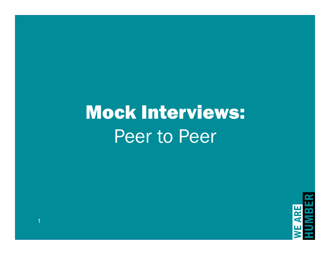# Mock Interviews: Peer to Peer



1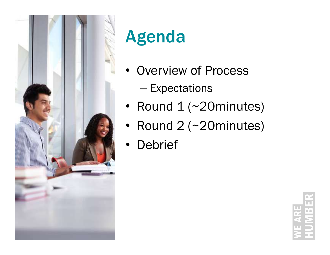

# Agenda

- Overview of Process
	- Expectations
- Round 1 (~20minutes)
- Round 2 (~20minutes)
- **Debrief**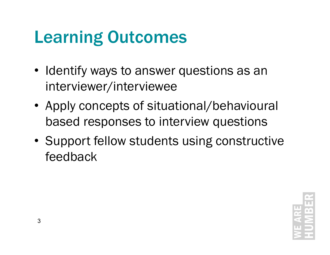## Learning Outcomes

- Identify ways to answer questions as an interviewer/interviewee
- Apply concepts of situational/behavioural based responses to interview questions
- Support fellow students using constructive feedback

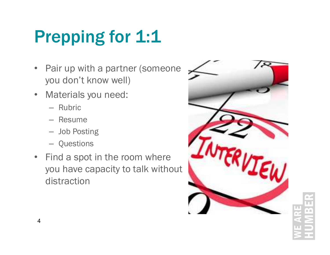# Prepping for 1:1

- Pair up with a partner (someone you don't know well)
- Materials you need:
	- Rubric
	- Resume
	- Job Posting
	- Questions
- Find a spot in the room where you have capacity to talk without distraction

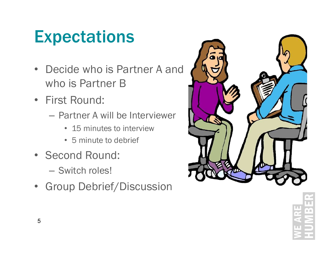## **Expectations**

- Decide who is Partner A and who is Partner B
- First Round:
	- Partner A will be Interviewer
		- 15 minutes to interview
		- 5 minute to debrief
- Second Round:
	- Switch roles!
- Group Debrief/Discussion

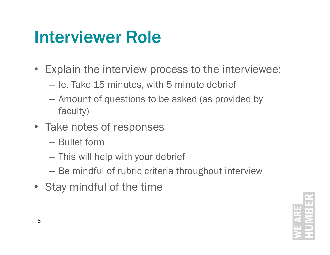## Interviewer Role

- Explain the interview process to the interviewee:
	- Ie. Take 15 minutes, with 5 minute debrief
	- Amount of questions to be asked (as provided by faculty)
- Take notes of responses
	- Bullet form
	- This will help with your debrief
	- Be mindful of rubric criteria throughout interview
- Stay mindful of the time

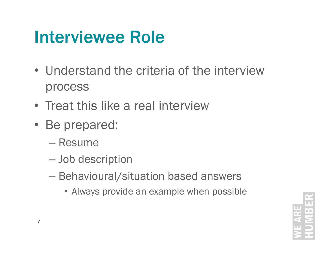## Interviewee Role

- Understand the criteria of the interview process
- Treat this like a real interview
- Be prepared:
	- Resume
	- Job description
	- Behavioural/situation based answers
		- Always provide an example when possible

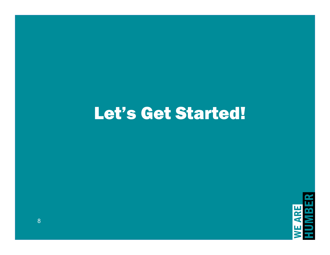### Let's Get Started!

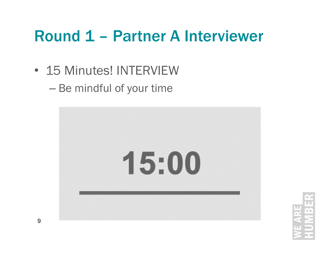# Round 1 – Partner A Interviewer

- 15 Minutes! INTERVIEW
	- Be mindful of your time



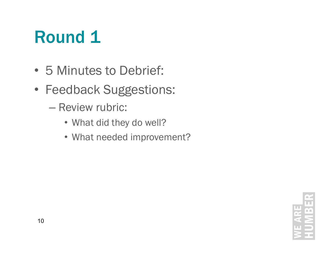## Round 1

- 5 Minutes to Debrief:
- Feedback Suggestions:
	- Review rubric:
		- What did they do well?
		- What needed improvement?

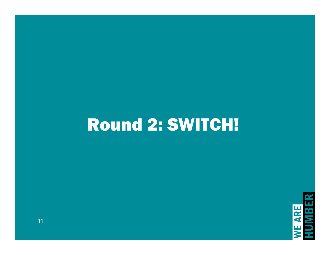## Round 2: SWITCH!

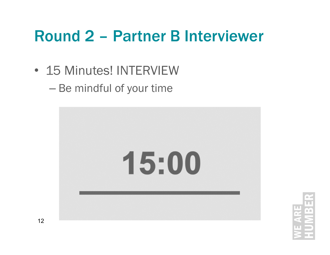# Round 2 – Partner B Interviewer

- 15 Minutes! INTERVIEW
	- Be mindful of your time



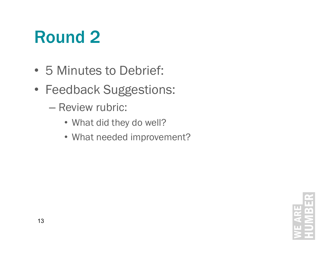## Round 2

- 5 Minutes to Debrief:
- Feedback Suggestions:
	- Review rubric:
		- What did they do well?
		- What needed improvement?

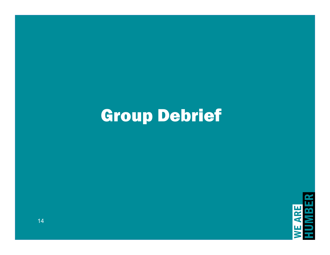## Group Debrief

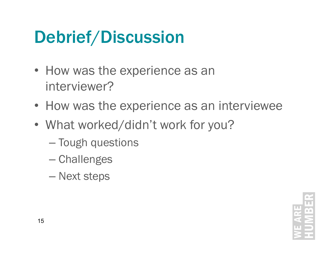## Debrief/Discussion

- How was the experience as an interviewer?
- How was the experience as an interviewee
- What worked/didn't work for you?
	- Tough questions
	- Challenges
	- Next steps